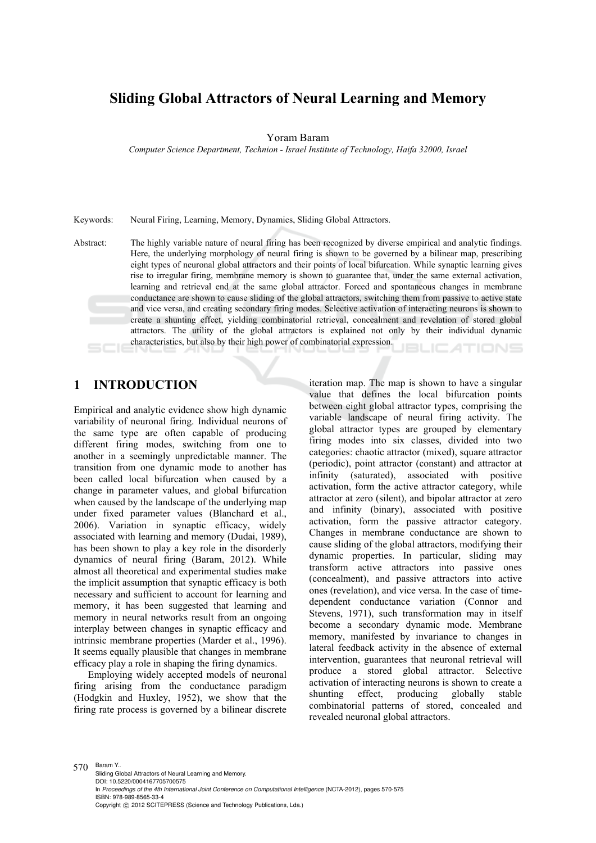# **Sliding Global Attractors of Neural Learning and Memory**

Yoram Baram

*Computer Science Department, Technion - Israel Institute of Technology, Haifa 32000, Israel* 

Keywords: Neural Firing, Learning, Memory, Dynamics, Sliding Global Attractors.

Abstract: The highly variable nature of neural firing has been recognized by diverse empirical and analytic findings. Here, the underlying morphology of neural firing is shown to be governed by a bilinear map, prescribing eight types of neuronal global attractors and their points of local bifurcation. While synaptic learning gives rise to irregular firing, membrane memory is shown to guarantee that, under the same external activation, learning and retrieval end at the same global attractor. Forced and spontaneous changes in membrane conductance are shown to cause sliding of the global attractors, switching them from passive to active state and vice versa, and creating secondary firing modes. Selective activation of interacting neurons is shown to create a shunting effect, yielding combinatorial retrieval, concealment and revelation of stored global attractors. The utility of the global attractors is explained not only by their individual dynamic characteristics, but also by their high power of combinatorial expression. **IBLIC ATIONS** 

# **1 INTRODUCTION**

Empirical and analytic evidence show high dynamic variability of neuronal firing. Individual neurons of the same type are often capable of producing different firing modes, switching from one to another in a seemingly unpredictable manner. The transition from one dynamic mode to another has been called local bifurcation when caused by a change in parameter values, and global bifurcation when caused by the landscape of the underlying map under fixed parameter values (Blanchard et al., 2006). Variation in synaptic efficacy, widely associated with learning and memory (Dudai, 1989), has been shown to play a key role in the disorderly dynamics of neural firing (Baram, 2012). While almost all theoretical and experimental studies make the implicit assumption that synaptic efficacy is both necessary and sufficient to account for learning and memory, it has been suggested that learning and memory in neural networks result from an ongoing interplay between changes in synaptic efficacy and intrinsic membrane properties (Marder et al., 1996). It seems equally plausible that changes in membrane efficacy play a role in shaping the firing dynamics.

Employing widely accepted models of neuronal firing arising from the conductance paradigm (Hodgkin and Huxley, 1952), we show that the firing rate process is governed by a bilinear discrete

iteration map. The map is shown to have a singular value that defines the local bifurcation points between eight global attractor types, comprising the variable landscape of neural firing activity. The global attractor types are grouped by elementary firing modes into six classes, divided into two categories: chaotic attractor (mixed), square attractor (periodic), point attractor (constant) and attractor at infinity (saturated), associated with positive activation, form the active attractor category, while attractor at zero (silent), and bipolar attractor at zero and infinity (binary), associated with positive activation, form the passive attractor category. Changes in membrane conductance are shown to cause sliding of the global attractors, modifying their dynamic properties. In particular, sliding may transform active attractors into passive ones (concealment), and passive attractors into active ones (revelation), and vice versa. In the case of timedependent conductance variation (Connor and Stevens, 1971), such transformation may in itself become a secondary dynamic mode. Membrane memory, manifested by invariance to changes in lateral feedback activity in the absence of external intervention, guarantees that neuronal retrieval will produce a stored global attractor. Selective activation of interacting neurons is shown to create a shunting effect, producing globally stable combinatorial patterns of stored, concealed and revealed neuronal global attractors.

570 Baram Y.. Sliding Global Attractors of Neural Learning and Memory. DOI: 10.5220/0004167705700575 In *Proceedings of the 4th International Joint Conference on Computational Intelligence* (NCTA-2012), pages 570-575 ISBN: 978-989-8565-33-4 Copyright © 2012 SCITEPRESS (Science and Technology Publications, Lda.)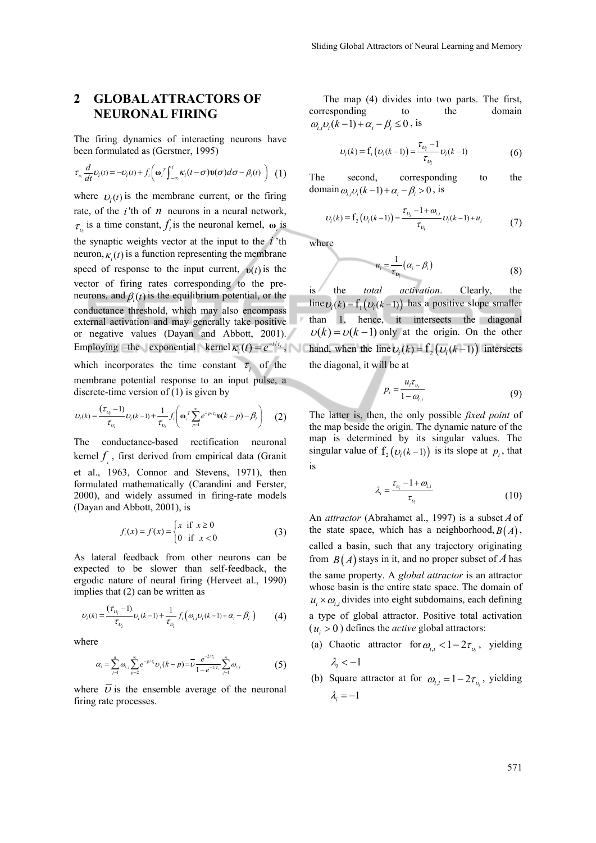## **2 GLOBAL ATTRACTORS OF NEURONAL FIRING**

The firing dynamics of interacting neurons have been formulated as (Gerstner, 1995)

$$
\tau_{\nu_i}\frac{d}{dt}\nu_i(t)=-\nu_i(t)+f_i\bigg(\omega_i^r\int_{-\infty}^t \kappa_i(t-\sigma)\mathbf{v}(\sigma)d\sigma-\beta_i(t)\bigg) \tag{1}
$$

where  $U_i(t)$  is the membrane current, or the firing rate, of the  $i$ 'th of  $n$  neurons in a neural network,  $\tau_{\nu}$  is a time constant,  $f_i$  is the neuronal kernel,  $\omega_i$  is the synaptic weights vector at the input to the *i* 'th neuron,  $\kappa(t)$  is a function representing the membrane speed of response to the input current,  $v(t)$  is the vector of firing rates corresponding to the preneurons, and  $\beta(t)$  is the equilibrium potential, or the conductance threshold, which may also encompass external activation and may generally take positive or negative values (Dayan and Abbott, 2001). which incorporates the time constant  $\tau_i$  of the

membrane potential response to an input pulse, a discrete-time version of (1) is given by

$$
v_i(k) = \frac{(\tau_{v_i} - 1)}{\tau_{v_i}} v_i(k-1) + \frac{1}{\tau_{v_i}} f_i \left( \mathbf{\omega}_i^T \sum_{p=1}^{\infty} e^{-p/\tau_i} \mathbf{v}(k-p) - \beta_i \right)
$$
 (2)

The conductance-based rectification neuronal kernel  $f_i$ , first derived from empirical data (Granit et al., 1963, Connor and Stevens, 1971), then formulated mathematically (Carandini and Ferster, 2000), and widely assumed in firing-rate models (Dayan and Abbott, 2001), is

$$
f_i(x) = f(x) = \begin{cases} x & \text{if } x \ge 0 \\ 0 & \text{if } x < 0 \end{cases}
$$
 (3)

As lateral feedback from other neurons can be expected to be slower than self-feedback, the ergodic nature of neural firing (Herveet al., 1990) implies that (2) can be written as

$$
v_i(k) = \frac{(\tau_{v_i} - 1)}{\tau_{v_i}} v_i(k-1) + \frac{1}{\tau_{v_i}} f_i \left( \omega_{i,i} v_i(k-1) + \alpha_i - \beta_i \right)
$$
 (4)

where

$$
\alpha_i = \sum_{j=1}^n \omega_{i,j} \sum_{p=2}^\infty e^{-p/\tau_i} \nu_j (k-p) = \overline{\nu} \frac{e^{-2/\tau_i}}{1 - e^{-1/\tau_i}} \sum_{j=1}^n \omega_{i,j} \tag{5}
$$

where  $\overline{v}$  is the ensemble average of the neuronal firing rate processes.

The map (4) divides into two parts. The first, corresponding to the domain  $\omega_i D_i(k-1) + \alpha_i - \beta_i \leq 0$ , is

$$
v_i(k) = f_1(v_i(k-1)) = \frac{\tau_{v_i} - 1}{\tau_{v_i}} v_i(k-1)
$$
 (6)

The second, corresponding to the domain  $\omega_i$   $\psi_i$   $(k-1) + \alpha_i - \beta_i > 0$ , is

$$
U_i(k) = \mathbf{f}_2 \left( U_i(k-1) \right) = \frac{\tau_{U_i} - 1 + \omega_{i,i}}{\tau_{U_i}} U_i(k-1) + u_i \tag{7}
$$

where

$$
u_i = \frac{1}{\tau_{v_i}} (\alpha_i - \beta_i)
$$
 (8)

Employing the exponential kernel  $\kappa_i(t) = e^{-t/\tau_i}$ , hand, when the line  $\upsilon_i(k) = \int_2 (\upsilon_i(k-1))$  intersects is the *total activation*. Clearly, the line  $v_i(k) = f_i(v_i(k-1))$  has a positive slope smaller than 1, hence, it intersects the diagonal  $\nu(k) = \nu(k-1)$  only at the origin. On the other the diagonal, it will be at

$$
p_i = \frac{u_i \tau_{v_i}}{1 - \omega_{i,i}} \tag{9}
$$

The latter is, then, the only possible *fixed point* of the map beside the origin. The dynamic nature of the map is determined by its singular values. The singular value of  $f_2(\nu_i(k-1))$  is its slope at  $p_i$ , that is

$$
\lambda_i = \frac{\tau_{\nu_i} - 1 + \omega_{i,i}}{\tau_{\nu_i}} \tag{10}
$$

An *attractor* (Abrahamet al., 1997) is a subset *A*of the state space, which has a neighborhood,  $B(A)$ , called a basin, such that any trajectory originating from  $B(A)$  stays in it, and no proper subset of A has the same property. A *global attractor* is an attractor whose basin is the entire state space. The domain of  $u_i \times \omega_i$ , divides into eight subdomains, each defining a type of global attractor. Positive total activation  $(u_i > 0)$  defines the *active* global attractors:

- (a) Chaotic attractor for  $\omega_{i,i} < 1 2\tau_{v,i}$ , yielding  $\lambda_i < -1$
- (b) Square attractor at for  $\omega_{i,i} = 1 2\tau_{i}$ , yielding  $\lambda_i = -1$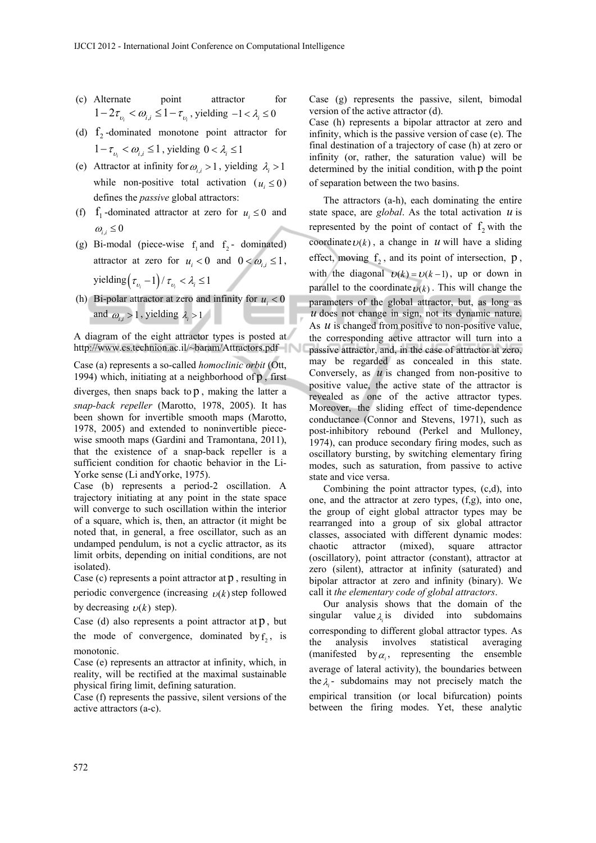- (c) Alternate point attractor for  $1-2\tau_{\nu} < \omega_{i,i} \leq 1-\tau_{\nu}$ , yielding  $-1 < \lambda_i \leq 0$
- (d)  $f_2$ -dominated monotone point attractor for  $1 - \tau_{\nu_i} < \omega_{i,i} \leq 1$ , yielding  $0 < \lambda_i \leq 1$
- (e) Attractor at infinity for  $\omega_{i,i} > 1$ , yielding  $\lambda_i > 1$ while non-positive total activation  $(u \leq 0)$ defines the *passive* global attractors:
- (f)  $f_1$ -dominated attractor at zero for  $u_i \leq 0$  and  $\omega_{i,i} \leq 0$
- (g) Bi-modal (piece-wise  $f_1$  and  $f_2$  dominated) attractor at zero for  $u_i < 0$  and  $0 < \omega_{i,i} \leq 1$ , yielding  $(\tau_{v_i} - 1)/\tau_{v_i} < \lambda_i \leq 1$
- (h) Bi-polar attractor at zero and infinity for  $u_i < 0$ and  $\omega_{i,i} > 1$ , yielding  $\lambda_i > 1$

A diagram of the eight attractor types is posted at http://www.cs.technion.ac.il/~baram/Attractors.pdf

Case (a) represents a so-called *homoclinic orbit* (Ott, 1994) which, initiating at a neighborhood of p , first diverges, then snaps back to  $p$ , making the latter a *snap-back repeller* (Marotto, 1978, 2005). It has been shown for invertible smooth maps (Marotto, 1978, 2005) and extended to noninvertible piecewise smooth maps (Gardini and Tramontana, 2011), that the existence of a snap-back repeller is a sufficient condition for chaotic behavior in the Li-Yorke sense (Li andYorke, 1975).

Case (b) represents a period-2 oscillation. A trajectory initiating at any point in the state space will converge to such oscillation within the interior of a square, which is, then, an attractor (it might be noted that, in general, a free oscillator, such as an undamped pendulum, is not a cyclic attractor, as its limit orbits, depending on initial conditions, are not isolated).

Case (c) represents a point attractor at p , resulting in periodic convergence (increasing  $v(k)$  step followed by decreasing  $v(k)$  step).

Case (d) also represents a point attractor at  $p$ , but the mode of convergence, dominated by  $f_2$ , is monotonic.

Case (e) represents an attractor at infinity, which, in reality, will be rectified at the maximal sustainable physical firing limit, defining saturation.

Case (f) represents the passive, silent versions of the active attractors (a-c).

Case (g) represents the passive, silent, bimodal version of the active attractor (d).

Case (h) represents a bipolar attractor at zero and infinity, which is the passive version of case (e). The final destination of a trajectory of case (h) at zero or infinity (or, rather, the saturation value) will be determined by the initial condition, with p the point of separation between the two basins.

The attractors (a-h), each dominating the entire state space, are *global*. As the total activation  $u$  is represented by the point of contact of  $f_2$  with the coordinate  $v(k)$ , a change in *u* will have a sliding effect, moving  $f_2$ , and its point of intersection, p, with the diagonal  $v(k) = v(k-1)$ , up or down in parallel to the coordinate  $v(k)$ . This will change the parameters of the global attractor, but, as long as *u* does not change in sign, not its dynamic nature. As *u* is changed from positive to non-positive value, the corresponding active attractor will turn into a passive attractor, and, in the case of attractor at zero, may be regarded as concealed in this state. Conversely, as  $u$  is changed from non-positive to positive value, the active state of the attractor is revealed as one of the active attractor types. Moreover, the sliding effect of time-dependence conductance (Connor and Stevens, 1971), such as post-inhibitory rebound (Perkel and Mulloney, 1974), can produce secondary firing modes, such as oscillatory bursting, by switching elementary firing modes, such as saturation, from passive to active state and vice versa.

Combining the point attractor types, (c,d), into one, and the attractor at zero types, (f,g), into one, the group of eight global attractor types may be rearranged into a group of six global attractor classes, associated with different dynamic modes: chaotic attractor (mixed), square attractor (oscillatory), point attractor (constant), attractor at zero (silent), attractor at infinity (saturated) and bipolar attractor at zero and infinity (binary). We call it *the elementary code of global attractors*.

Our analysis shows that the domain of the singular value  $\lambda_i$  is divided into subdomains corresponding to different global attractor types. As the analysis involves statistical averaging (manifested by  $\alpha_i$ , representing the ensemble average of lateral activity), the boundaries between the  $\lambda_i$ - subdomains may not precisely match the empirical transition (or local bifurcation) points between the firing modes. Yet, these analytic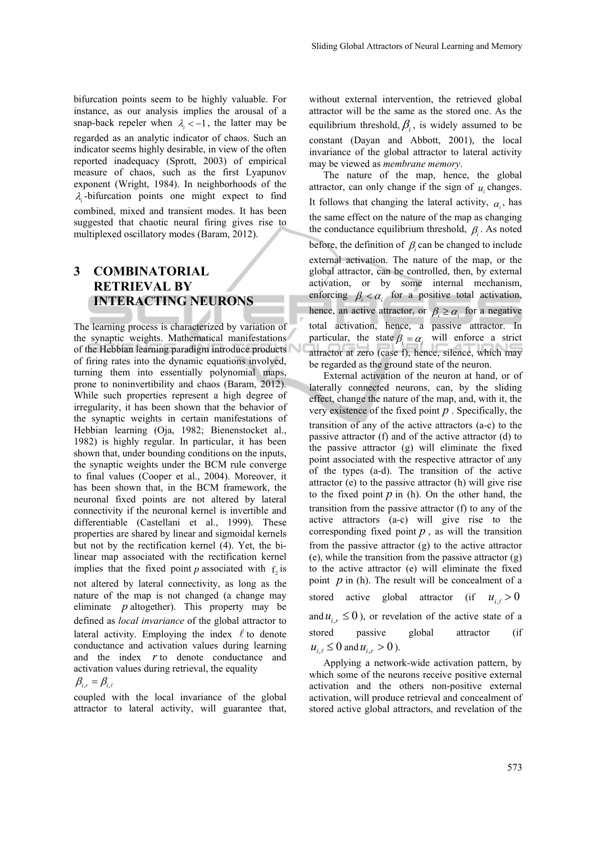bifurcation points seem to be highly valuable. For instance, as our analysis implies the arousal of a snap-back repeler when  $\lambda_i < -1$ , the latter may be regarded as an analytic indicator of chaos. Such an indicator seems highly desirable, in view of the often reported inadequacy (Sprott, 2003) of empirical measure of chaos, such as the first Lyapunov exponent (Wright, 1984). In neighborhoods of the  $\lambda$ -bifurcation points one might expect to find combined, mixed and transient modes. It has been suggested that chaotic neural firing gives rise to multiplexed oscillatory modes (Baram, 2012).

# **3 COMBINATORIAL RETRIEVAL BY INTERACTING NEURONS**

The learning process is characterized by variation of the synaptic weights. Mathematical manifestations of the Hebbian learning paradigm introduce products of firing rates into the dynamic equations involved, turning them into essentially polynomial maps, prone to noninvertibility and chaos (Baram, 2012). While such properties represent a high degree of irregularity, it has been shown that the behavior of the synaptic weights in certain manifestations of Hebbian learning (Oja, 1982; Bienenstocket al., 1982) is highly regular. In particular, it has been shown that, under bounding conditions on the inputs, the synaptic weights under the BCM rule converge to final values (Cooper et al., 2004). Moreover, it has been shown that, in the BCM framework, the neuronal fixed points are not altered by lateral connectivity if the neuronal kernel is invertible and differentiable (Castellani et al., 1999). These properties are shared by linear and sigmoidal kernels but not by the rectification kernel (4). Yet, the bilinear map associated with the rectification kernel implies that the fixed point *p* associated with  $f<sub>0</sub>$  is not altered by lateral connectivity, as long as the nature of the map is not changed (a change may eliminate *p* altogether). This property may be defined as *local invariance* of the global attractor to lateral activity. Employing the index  $\ell$  to denote conductance and activation values during learning and the index *r* to denote conductance and activation values during retrieval, the equality

#### $\beta_{i,r} = \beta_{i}$

coupled with the local invariance of the global attractor to lateral activity, will guarantee that,

without external intervention, the retrieved global attractor will be the same as the stored one. As the equilibrium threshold,  $\beta$ , is widely assumed to be constant (Dayan and Abbott, 2001), the local invariance of the global attractor to lateral activity may be viewed as *membrane memory*.

The nature of the map, hence, the global attractor, can only change if the sign of  $u_i$  changes. It follows that changing the lateral activity,  $\alpha_i$ , has the same effect on the nature of the map as changing the conductance equilibrium threshold,  $\beta$ <sub>i</sub>. As noted before, the definition of  $\beta$  can be changed to include external activation. The nature of the map, or the global attractor, can be controlled, then, by external activation, or by some internal mechanism, enforcing  $\beta_i < \alpha_i$  for a positive total activation, hence, an active attractor, or  $\beta_i \ge \alpha_i$  for a negative total activation, hence, a passive attractor. In particular, the state  $\beta_i = \alpha_i$  will enforce a strict attractor at zero (case f), hence, silence, which may be regarded as the ground state of the neuron.

External activation of the neuron at hand, or of laterally connected neurons, can, by the sliding effect, change the nature of the map, and, with it, the very existence of the fixed point *p* . Specifically, the transition of any of the active attractors (a-c) to the passive attractor (f) and of the active attractor (d) to the passive attractor (g) will eliminate the fixed point associated with the respective attractor of any of the types (a-d). The transition of the active attractor (e) to the passive attractor (h) will give rise to the fixed point  $p$  in (h). On the other hand, the transition from the passive attractor (f) to any of the active attractors (a-c) will give rise to the corresponding fixed point  $p$ , as will the transition from the passive attractor  $(g)$  to the active attractor (e), while the transition from the passive attractor (g) to the active attractor (e) will eliminate the fixed point *p* in (h). The result will be concealment of a stored active global attractor (if  $u_{i} > 0$ and  $u_{i,r} \leq 0$ ), or revelation of the active state of a stored passive global attractor (if  $u_{i} \leq 0$  and  $u_{i,r} > 0$  ).

Applying a network-wide activation pattern, by which some of the neurons receive positive external activation and the others non-positive external activation, will produce retrieval and concealment of stored active global attractors, and revelation of the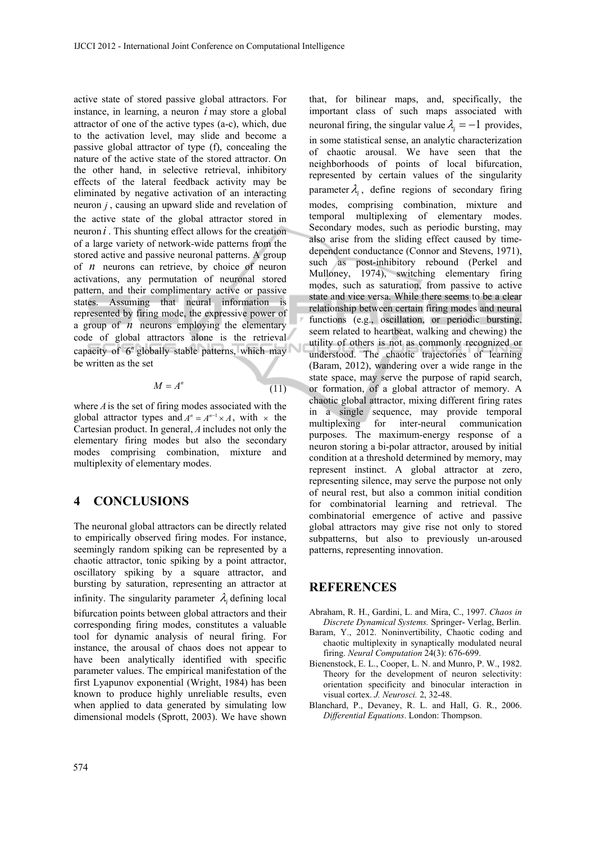active state of stored passive global attractors. For instance, in learning, a neuron *i* may store a global attractor of one of the active types (a-c), which, due to the activation level, may slide and become a passive global attractor of type (f), concealing the nature of the active state of the stored attractor. On the other hand, in selective retrieval, inhibitory effects of the lateral feedback activity may be eliminated by negative activation of an interacting neuron *j* , causing an upward slide and revelation of the active state of the global attractor stored in neuron *i* . This shunting effect allows for the creation of a large variety of network-wide patterns from the stored active and passive neuronal patterns. A group of *n* neurons can retrieve, by choice of neuron activations, any permutation of neuronal stored pattern, and their complimentary active or passive states. Assuming that neural information is represented by firing mode, the expressive power of a group of  $n$  neurons employing the elementary code of global attractors alone is the retrieval capacity of  $6<sup>n</sup>$  globally stable patterns, which may be written as the set

$$
M = A^n \tag{11}
$$

where *A*is the set of firing modes associated with the global attractor types and  $A^n = A^{n-1} \times A$ , with  $\times$  the Cartesian product. In general, *A* includes not only the elementary firing modes but also the secondary modes comprising combination, mixture and multiplexity of elementary modes.

### **4 CONCLUSIONS**

The neuronal global attractors can be directly related to empirically observed firing modes. For instance, seemingly random spiking can be represented by a chaotic attractor, tonic spiking by a point attractor, oscillatory spiking by a square attractor, and bursting by saturation, representing an attractor at infinity. The singularity parameter  $\lambda$  defining local bifurcation points between global attractors and their corresponding firing modes, constitutes a valuable tool for dynamic analysis of neural firing. For instance, the arousal of chaos does not appear to have been analytically identified with specific parameter values. The empirical manifestation of the first Lyapunov exponential (Wright, 1984) has been known to produce highly unreliable results, even when applied to data generated by simulating low dimensional models (Sprott, 2003). We have shown

that, for bilinear maps, and, specifically, the important class of such maps associated with neuronal firing, the singular value  $\lambda_i = -1$  provides, in some statistical sense, an analytic characterization of chaotic arousal. We have seen that the neighborhoods of points of local bifurcation, represented by certain values of the singularity parameter  $\lambda_i$ , define regions of secondary firing modes, comprising combination, mixture and temporal multiplexing of elementary modes. Secondary modes, such as periodic bursting, may also arise from the sliding effect caused by timedependent conductance (Connor and Stevens, 1971), such as post-inhibitory rebound (Perkel and Mulloney, 1974), switching elementary firing modes, such as saturation, from passive to active state and vice versa. While there seems to be a clear relationship between certain firing modes and neural functions (e.g., oscillation, or periodic bursting, seem related to heartbeat, walking and chewing) the utility of others is not as commonly recognized or understood. The chaotic trajectories of learning (Baram, 2012), wandering over a wide range in the state space, may serve the purpose of rapid search, or formation, of a global attractor of memory. A chaotic global attractor, mixing different firing rates in a single sequence, may provide temporal multiplexing for inter-neural communication purposes. The maximum-energy response of a neuron storing a bi-polar attractor, aroused by initial condition at a threshold determined by memory, may represent instinct. A global attractor at zero, representing silence, may serve the purpose not only of neural rest, but also a common initial condition for combinatorial learning and retrieval. The combinatorial emergence of active and passive global attractors may give rise not only to stored subpatterns, but also to previously un-aroused patterns, representing innovation.

### **REFERENCES**

- Abraham, R. H., Gardini, L. and Mira, C., 1997. *Chaos in Discrete Dynamical Systems.* Springer- Verlag, Berlin.
- Baram, Y., 2012. Noninvertibility, Chaotic coding and chaotic multiplexity in synaptically modulated neural firing. *Neural Computation* 24(3): 676-699.
- Bienenstock, E. L., Cooper, L. N. and Munro, P. W., 1982. Theory for the development of neuron selectivity: orientation specificity and binocular interaction in visual cortex. *J. Neurosci.* 2, 32-48.
- Blanchard, P., Devaney, R. L. and Hall, G. R., 2006. *Differential Equations*. London: Thompson.